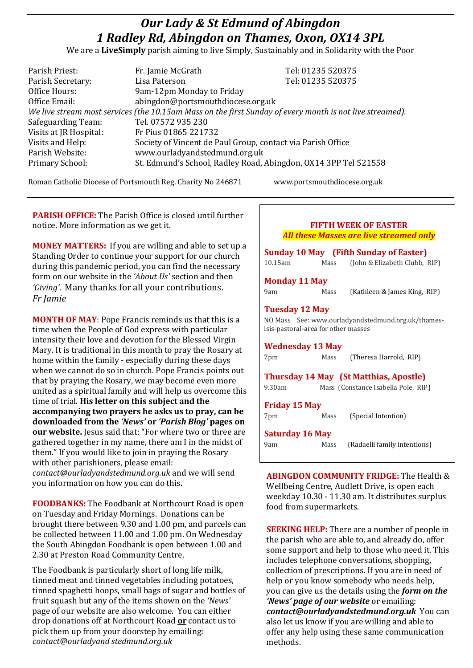# *Our Lady & St Edmund of Abingdon 1 Radley Rd, Abingdon on Thames, Oxon, OX14 3PL*

We are a **LiveSimply** parish aiming to live Simply, Sustainably and in Solidarity with the Poor

| Parish Priest:         | Fr. Jamie McGrath                                                                                            | Tel: 01235 520375 |
|------------------------|--------------------------------------------------------------------------------------------------------------|-------------------|
| Parish Secretary:      | Lisa Paterson                                                                                                | Tel: 01235 520375 |
| Office Hours:          | 9am-12pm Monday to Friday                                                                                    |                   |
| Office Email:          | abingdon@portsmouthdiocese.org.uk                                                                            |                   |
|                        | $ $ We live stream most services (the 10.15am Mass on the first Sunday of every month is not live streamed). |                   |
| Safeguarding Team:     | Tel. 07572 935 230                                                                                           |                   |
| Visits at JR Hospital: | Fr Pius 01865 221732                                                                                         |                   |
| Visits and Help:       | Society of Vincent de Paul Group, contact via Parish Office                                                  |                   |
| Parish Website:        | www.ourladyandstedmund.org.uk                                                                                |                   |
| Primary School:        | St. Edmund's School, Radley Road, Abingdon, OX14 3PP Tel 521558                                              |                   |
|                        |                                                                                                              |                   |

Roman Catholic Diocese of Portsmouth Reg. Charity No 246871 www.portsmouthdiocese.org.uk

**PARISH OFFICE:** The Parish Office is closed until further notice. More information as we get it.

**MONEY MATTERS:** If you are willing and able to set up a Standing Order to continue your support for our church during this pandemic period, you can find the necessary form on our website in the *'About Us'* section and then *'Giving'*. Many thanks for all your contributions. *Fr Jamie*

**MONTH OF MAY**: Pope Francis reminds us that this is a time when the People of God express with particular intensity their love and devotion for the Blessed Virgin Mary. It is traditional in this month to pray the Rosary at home within the family - especially during these days when we cannot do so in church. Pope Francis points out that by praying the Rosary, we may become even more united as a spiritual family and will help us overcome this time of trial. **His letter on this subject and the accompanying two prayers he asks us to pray, can be downloaded from the** *'News'* **or** *'Parish Blog'* **pages on our website.** Jesus said that: "For where two or three are gathered together in my name, there am I in the midst of them." If you would like to join in praying the Rosary with other parishioners, please email: *contact@ourladyandstedmund.org.uk* and we will send you information on how you can do this.

**FOODBANKS:** The Foodbank at Northcourt Road is open on Tuesday and Friday Mornings. Donations can be brought there between 9.30 and 1.00 pm, and parcels can be collected between 11.00 and 1.00 pm. On Wednesday the South Abingdon Foodbank is open between 1.00 and 2.30 at Preston Road Community Centre.

The Foodbank is particularly short of long life milk, tinned meat and tinned vegetables including potatoes, tinned spaghetti hoops, small bags of sugar and bottles of fruit squash but any of the items shown on the *'News'* page of our website are also welcome. You can either drop donations off at Northcourt Road **or** contact us to pick them up from your doorstep by emailing: *contact@ourladyand stedmund.org.uk*

| ги ні week vi елэтек<br>All these Masses are live streamed only<br><b>Sunday 10 May</b> (Fifth Sunday of Easter) |      |                                                                                      |  |  |
|------------------------------------------------------------------------------------------------------------------|------|--------------------------------------------------------------------------------------|--|--|
|                                                                                                                  |      |                                                                                      |  |  |
| <b>Monday 11 May</b>                                                                                             |      |                                                                                      |  |  |
| 9am                                                                                                              | Mass | (Kathleen & James King, RIP)                                                         |  |  |
| <b>Tuesday 12 May</b><br>isis-pastoral-area for other masses                                                     |      | NO Mass See: www.ourladyandstedmund.org.uk/thames-                                   |  |  |
| <b>Wednesday 13 May</b>                                                                                          |      |                                                                                      |  |  |
| 7pm                                                                                                              | Mass | (Theresa Harrold, RIP)                                                               |  |  |
| 9.30am                                                                                                           |      | <b>Thursday 14 May (St Matthias, Apostle)</b><br>Mass (Constance Isabella Pole, RIP) |  |  |
| <b>Friday 15 May</b><br>7pm                                                                                      | Mass | (Special Intention)                                                                  |  |  |
| <b>Saturday 16 May</b>                                                                                           |      |                                                                                      |  |  |
| 9am                                                                                                              | Mass | (Radaelli family intentions)                                                         |  |  |

**FIFTH WEEK OF EASTER**

**ABINGDON COMMUNITY FRIDGE:** The Health & Wellbeing Centre, Audlett Drive, is open each weekday 10.30 - 11.30 am. It distributes surplus food from supermarkets.

**SEEKING HELP:** There are a number of people in the parish who are able to, and already do, offer some support and help to those who need it. This includes telephone conversations, shopping, collection of prescriptions. If you are in need of help or you know somebody who needs help, you can give us the details using the *form on the 'News' page of our website* or emailing: *contact@ourladyandstedmund.org.uk* You can also let us know if you are willing and able to offer any help using these same communication methods.